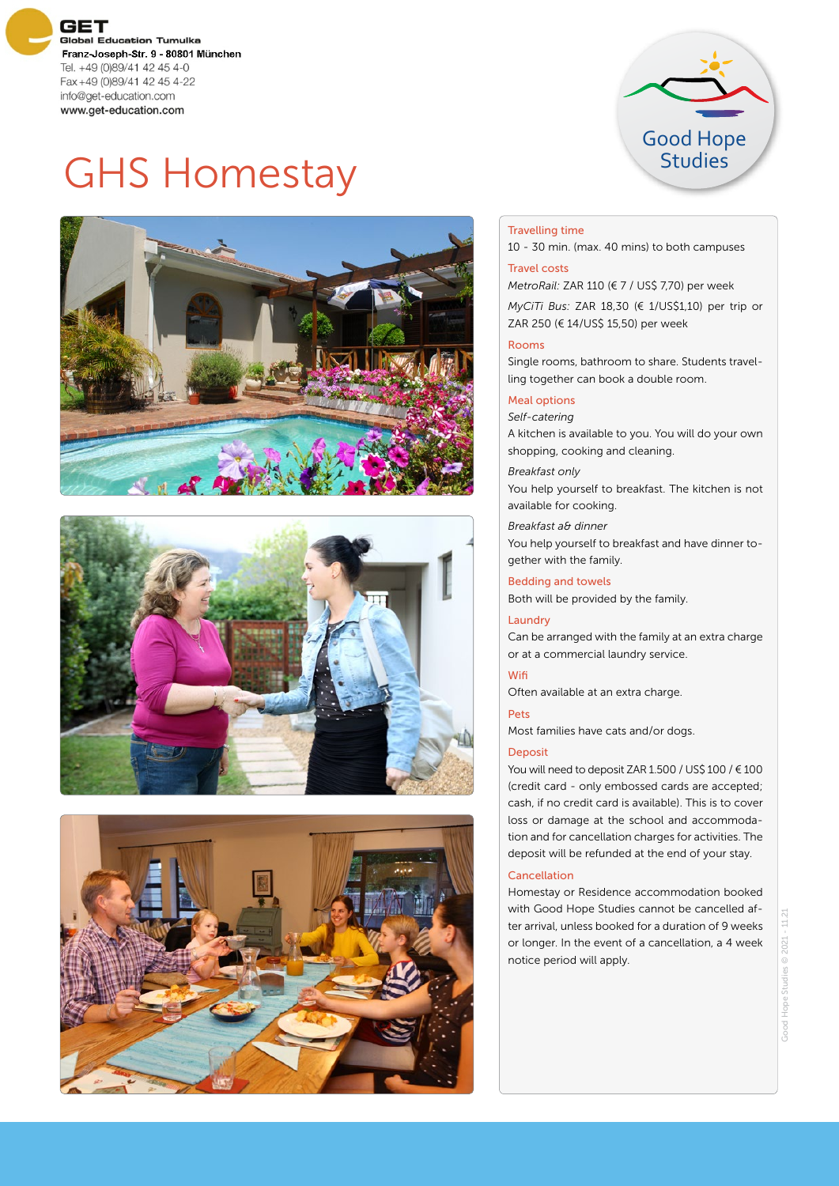**GET Global Education Tumulka** Franz-Joseph-Str. 9 - 80801 München Tel. +49 (0)89/41 42 45 4-0 Fax+49 (0)89/41 42 45 4-22 info@get-education.com www.get-education.com



# GHS Homestay







#### Travelling time

10 - 30 min. (max. 40 mins) to both campuses

## Travel costs

*MetroRail:* ZAR 110 (€ 7 / US\$ 7,70) per week

*MyCiTi Bus:* ZAR 18,30 (€ 1/US\$1,10) per trip or ZAR 250 (€ 14/US\$ 15,50) per week

### Rooms

Single rooms, bathroom to share. Students travelling together can book a double room.

### Meal options

*Self-catering* A kitchen is available to you. You will do your own shopping, cooking and cleaning.

*Breakfast only* You help yourself to breakfast. The kitchen is not available for cooking.

*Breakfast a& dinner* You help yourself to breakfast and have dinner together with the family.

#### Bedding and towels

Both will be provided by the family.

#### Laundry

Can be arranged with the family at an extra charge or at a commercial laundry service.

# Wifi

Often available at an extra charge.

Pets

Most families have cats and/or dogs.

#### Deposit

You will need to deposit ZAR 1.500 / US\$ 100 / € 100 (credit card - only embossed cards are accepted; cash, if no credit card is available). This is to cover loss or damage at the school and accommodation and for cancellation charges for activities. The deposit will be refunded at the end of your stay.

#### Cancellation

Homestay or Residence accommodation booked with Good Hope Studies cannot be cancelled after arrival, unless booked for a duration of 9 weeks or longer. In the event of a cancellation, a 4 week notice period will apply.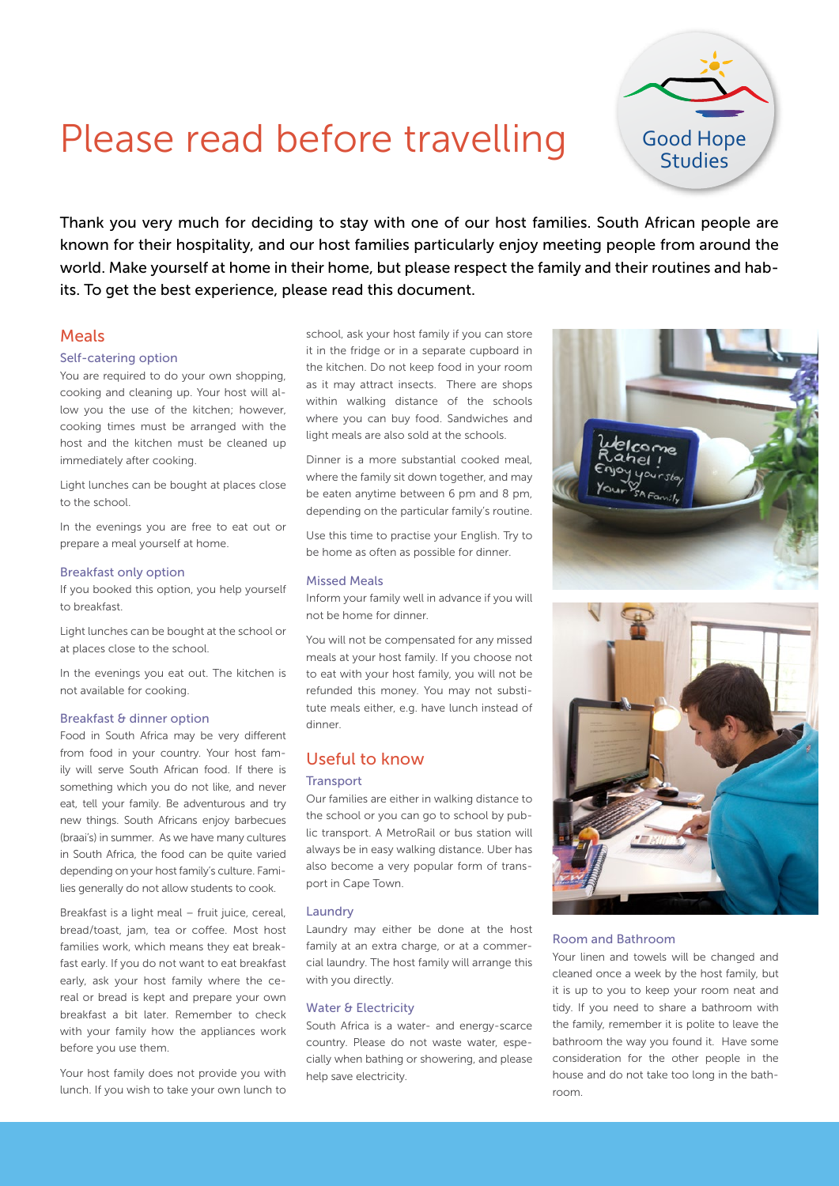# Please read before travelling

Thank you very much for deciding to stay with one of our host families. South African people are known for their hospitality, and our host families particularly enjoy meeting people from around the world. Make yourself at home in their home, but please respect the family and their routines and habits. To get the best experience, please read this document.

# Meals

#### Self-catering option

You are required to do your own shopping, cooking and cleaning up. Your host will allow you the use of the kitchen; however, cooking times must be arranged with the host and the kitchen must be cleaned up immediately after cooking.

Light lunches can be bought at places close to the school.

In the evenings you are free to eat out or prepare a meal yourself at home.

#### Breakfast only option

If you booked this option, you help yourself to breakfast.

Light lunches can be bought at the school or at places close to the school.

In the evenings you eat out. The kitchen is not available for cooking.

#### Breakfast & dinner option

Food in South Africa may be very different from food in your country. Your host family will serve South African food. If there is something which you do not like, and never eat, tell your family. Be adventurous and try new things. South Africans enjoy barbecues (braai's) in summer. As we have many cultures in South Africa, the food can be quite varied depending on your host family's culture. Families generally do not allow students to cook.

Breakfast is a light meal – fruit juice, cereal, bread/toast, jam, tea or coffee. Most host families work, which means they eat breakfast early. If you do not want to eat breakfast early, ask your host family where the cereal or bread is kept and prepare your own breakfast a bit later. Remember to check with your family how the appliances work before you use them.

Your host family does not provide you with lunch. If you wish to take your own lunch to school, ask your host family if you can store it in the fridge or in a separate cupboard in the kitchen. Do not keep food in your room as it may attract insects. There are shops within walking distance of the schools where you can buy food. Sandwiches and light meals are also sold at the schools.

Dinner is a more substantial cooked meal, where the family sit down together, and may be eaten anytime between 6 pm and 8 pm, depending on the particular family's routine.

Use this time to practise your English. Try to be home as often as possible for dinner.

#### Missed Meals

Inform your family well in advance if you will not be home for dinner.

You will not be compensated for any missed meals at your host family. If you choose not to eat with your host family, you will not be refunded this money. You may not substitute meals either, e.g. have lunch instead of dinner.

# Useful to know

#### **Transport**

Our families are either in walking distance to the school or you can go to school by public transport. A MetroRail or bus station will always be in easy walking distance. Uber has also become a very popular form of transport in Cape Town.

#### Laundry

Laundry may either be done at the host family at an extra charge, or at a commercial laundry. The host family will arrange this with you directly.

#### Water & Electricity

South Africa is a water- and energy-scarce country. Please do not waste water, especially when bathing or showering, and please help save electricity.





#### Room and Bathroom

Your linen and towels will be changed and cleaned once a week by the host family, but it is up to you to keep your room neat and tidy. If you need to share a bathroom with the family, remember it is polite to leave the bathroom the way you found it. Have some consideration for the other people in the house and do not take too long in the bathroom.